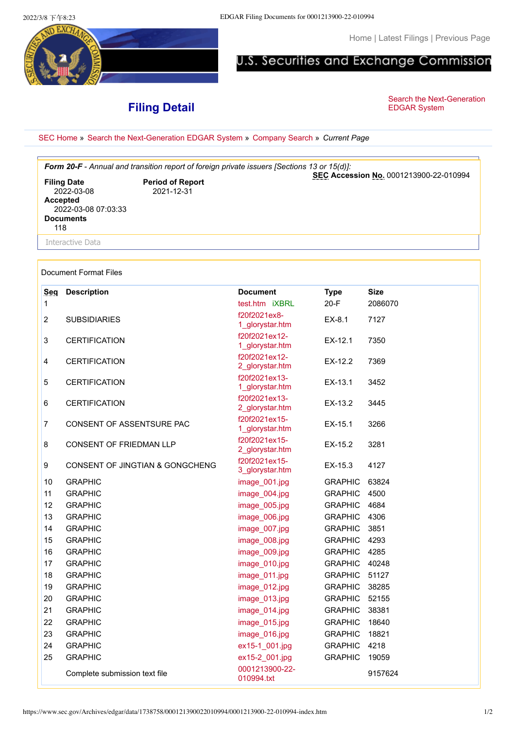5 E.X

[Home](https://www.sec.gov/index.htm) | [Latest Filings](https://www.sec.gov/cgi-bin/browse-edgar?action=getcurrent) | [Previous Page](javascript:history.back())

## U.S. Securities and Exchange Commission

## **Filing Detail**

[Search the Next-Generation](https://www.sec.gov/edgar/searchedgar/webusers.htm)<br>EDGAR System

[SEC Home](https://www.sec.gov/index.htm) » [Search the Next-Generation EDGAR System](https://www.sec.gov/edgar/searchedgar/webusers.htm) » [Company Search](https://www.sec.gov/edgar/searchedgar/companysearch.html) » *Current Page*

| Form 20-F - Annual and transition report of foreign private issuers [Sections 13 or 15(d)]:           |                                       |                                        |  |  |  |  |  |  |  |
|-------------------------------------------------------------------------------------------------------|---------------------------------------|----------------------------------------|--|--|--|--|--|--|--|
| <b>Filing Date</b><br>2022-03-08<br><b>Accepted</b><br>2022-03-08 07:03:33<br><b>Documents</b><br>118 | <b>Period of Report</b><br>2021-12-31 | SEC Accession No. 0001213900-22-010994 |  |  |  |  |  |  |  |
| Interactive Data                                                                                      |                                       |                                        |  |  |  |  |  |  |  |
|                                                                                                       |                                       |                                        |  |  |  |  |  |  |  |

## Document Format Files

| Seg            | <b>Description</b>              | <b>Document</b>                  | <b>Type</b>    | <b>Size</b> |
|----------------|---------------------------------|----------------------------------|----------------|-------------|
| 1              |                                 | test.htm iXBRL                   | $20-F$         | 2086070     |
| $\overline{2}$ | <b>SUBSIDIARIES</b>             | f20f2021ex8-<br>1_glorystar.htm  | EX-8.1         | 7127        |
| 3              | <b>CERTIFICATION</b>            | f20f2021ex12-<br>1_glorystar.htm | EX-12.1        | 7350        |
| 4              | <b>CERTIFICATION</b>            | f20f2021ex12-<br>2_glorystar.htm | EX-12.2        | 7369        |
| 5              | <b>CERTIFICATION</b>            | f20f2021ex13-<br>1_glorystar.htm | EX-13.1        | 3452        |
| $\,6\,$        | <b>CERTIFICATION</b>            | f20f2021ex13-<br>2_glorystar.htm | EX-13.2        | 3445        |
| $\overline{7}$ | CONSENT OF ASSENTSURE PAC       | f20f2021ex15-<br>1_glorystar.htm | $EX-15.1$      | 3266        |
| 8              | CONSENT OF FRIEDMAN LLP         | f20f2021ex15-<br>2_glorystar.htm | $EX-15.2$      | 3281        |
| 9              | CONSENT OF JINGTIAN & GONGCHENG | f20f2021ex15-<br>3_glorystar.htm | EX-15.3        | 4127        |
| 10             | <b>GRAPHIC</b>                  | image_001.jpg                    | <b>GRAPHIC</b> | 63824       |
| 11             | <b>GRAPHIC</b>                  | image 004.jpg                    | <b>GRAPHIC</b> | 4500        |
| 12             | <b>GRAPHIC</b>                  | image_005.jpg                    | <b>GRAPHIC</b> | 4684        |
| 13             | <b>GRAPHIC</b>                  | image_006.jpg                    | <b>GRAPHIC</b> | 4306        |
| 14             | <b>GRAPHIC</b>                  | image_007.jpg                    | <b>GRAPHIC</b> | 3851        |
| 15             | <b>GRAPHIC</b>                  | image_008.jpg                    | <b>GRAPHIC</b> | 4293        |
| 16             | <b>GRAPHIC</b>                  | image 009.jpg                    | <b>GRAPHIC</b> | 4285        |
| 17             | <b>GRAPHIC</b>                  | image_010.jpg                    | <b>GRAPHIC</b> | 40248       |
| 18             | <b>GRAPHIC</b>                  | image_011.jpg                    | <b>GRAPHIC</b> | 51127       |
| 19             | <b>GRAPHIC</b>                  | image_012.jpg                    | <b>GRAPHIC</b> | 38285       |
| 20             | <b>GRAPHIC</b>                  | image_013.jpg                    | <b>GRAPHIC</b> | 52155       |
| 21             | <b>GRAPHIC</b>                  | image_014.jpg                    | <b>GRAPHIC</b> | 38381       |
| 22             | <b>GRAPHIC</b>                  | image 015.jpg                    | <b>GRAPHIC</b> | 18640       |
| 23             | <b>GRAPHIC</b>                  | image_016.jpg                    | <b>GRAPHIC</b> | 18821       |
| 24             | <b>GRAPHIC</b>                  | ex15-1 001.jpg                   | <b>GRAPHIC</b> | 4218        |
| 25             | <b>GRAPHIC</b>                  | ex15-2 001.jpg                   | <b>GRAPHIC</b> | 19059       |
|                | Complete submission text file   | 0001213900-22-<br>010994.txt     |                | 9157624     |